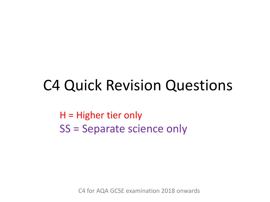### C4 Quick Revision Questions

H = Higher tier only SS = Separate science only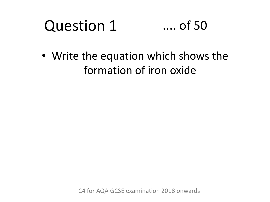#### Question 1 .... of 50

• Write the equation which shows the formation of iron oxide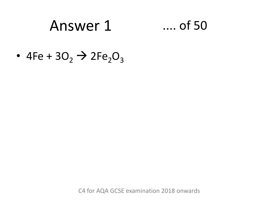### Answer 1 .... of 50

• 4Fe +  $3O_2 \rightarrow 2Fe_2O_3$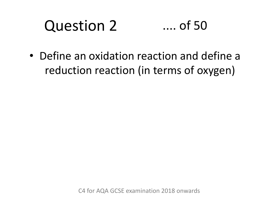#### Question 2 .... of 50

• Define an oxidation reaction and define a reduction reaction (in terms of oxygen)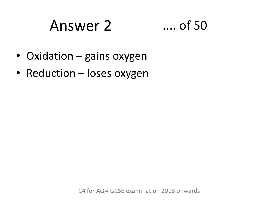### Answer 2 .... of 50



- Oxidation gains oxygen
- Reduction loses oxygen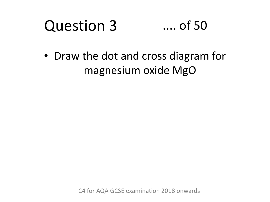#### Question 3 .... of 50

• Draw the dot and cross diagram for magnesium oxide MgO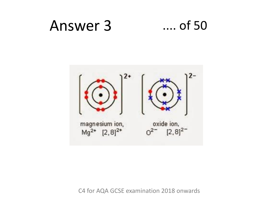

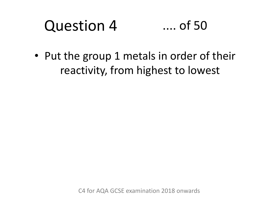#### Question 4 .... of 50

• Put the group 1 metals in order of their reactivity, from highest to lowest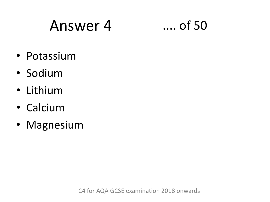### Answer 4 .... of 50



- Potassium
- Sodium
- Lithium
- Calcium
- Magnesium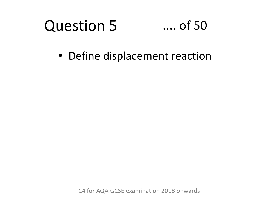#### Question 5 .... of 50

• Define displacement reaction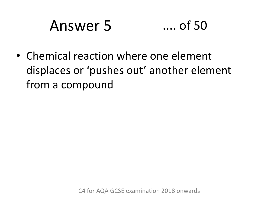# Answer 5 .... of 50

• Chemical reaction where one element displaces or 'pushes out' another element from a compound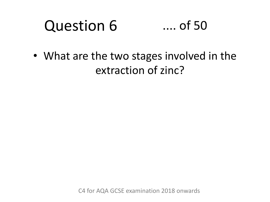#### Question 6 .... of 50

• What are the two stages involved in the extraction of zinc?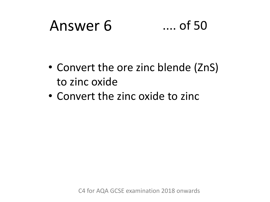### Answer 6 .... of 50



- Convert the ore zinc blende (ZnS) to zinc oxide
- Convert the zinc oxide to zinc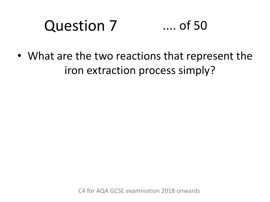#### Question 7 .... of 50

• What are the two reactions that represent the iron extraction process simply?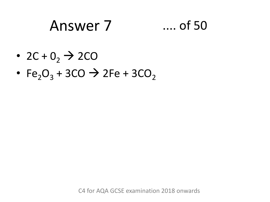### Answer 7 .... of 50

- 2C +  $0<sub>2</sub>$   $\rightarrow$  2CO
- Fe<sub>2</sub>O<sub>3</sub> + 3CO  $\rightarrow$  2Fe + 3CO<sub>2</sub>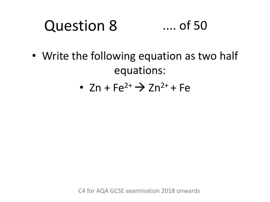#### Question 8 .... of 50

- Write the following equation as two half equations:
	- $Zn + Fe^{2+} \rightarrow Zn^{2+} + Fe$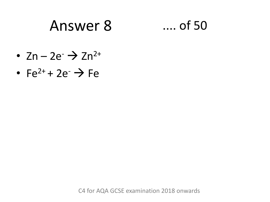### Answer 8 .... of 50

- $Zn 2e^ \rightarrow$   $Zn^{2+}$
- Fe<sup>2+</sup> + 2e<sup>-</sup>  $\rightarrow$  Fe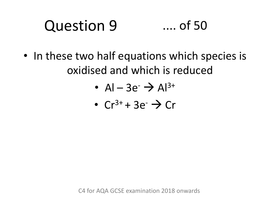#### Question 9 .... of 50

- In these two half equations which species is oxidised and which is reduced
	- Al 3e<sup>-</sup>  $\rightarrow$  Al<sup>3+</sup>
	- $Cr^{3+} + 3e^ \rightarrow$   $Cr$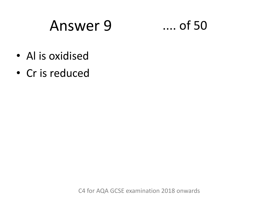### Answer 9 .... of 50

- Al is oxidised
- Cr is reduced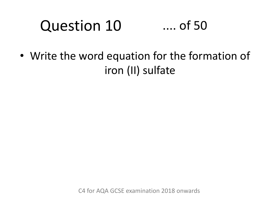### Question 10 .... of 50

• Write the word equation for the formation of iron (II) sulfate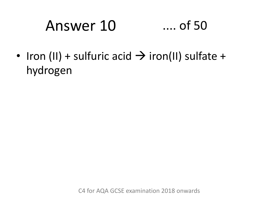# Answer 10 .... of 50

• Iron (II) + sulfuric acid  $\rightarrow$  iron(II) sulfate + hydrogen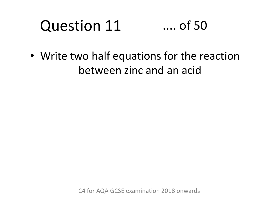#### Question 11 .... of 50

• Write two half equations for the reaction between zinc and an acid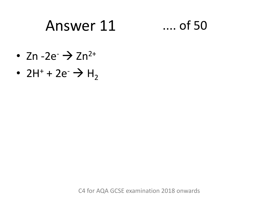### Answer 11 .... of 50

- Zn  $-2e^ \rightarrow$  Zn<sup>2+</sup>
- 2H<sup>+</sup> + 2e<sup>-</sup>  $\rightarrow$  H<sub>2</sub>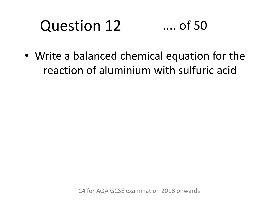### Question 12 .... of 50

• Write a balanced chemical equation for the reaction of aluminium with sulfuric acid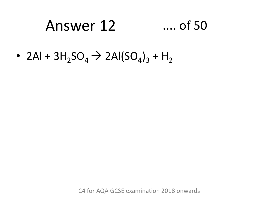### Answer 12 .... of 50

• 2Al +  $3H_2SO_4 \rightarrow 2Al(SO_4)_3 + H_2$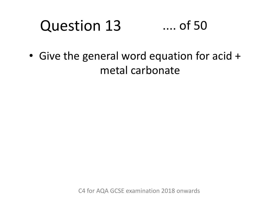#### Question 13 .... of 50

• Give the general word equation for acid + metal carbonate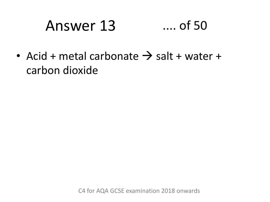## Answer 13 .... of 50

• Acid + metal carbonate  $\rightarrow$  salt + water + carbon dioxide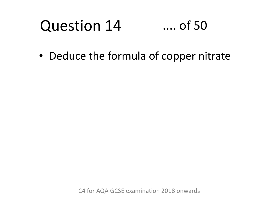#### Question 14 .... of 50

• Deduce the formula of copper nitrate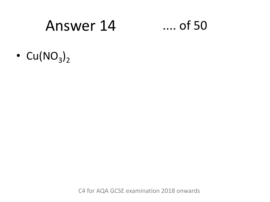### Answer 14 .... of 50

•  $Cu(NO<sub>3</sub>)<sub>2</sub>$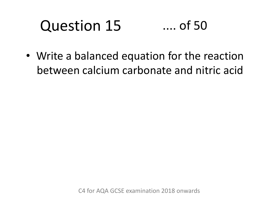### Question 15 .... of 50

• Write a balanced equation for the reaction between calcium carbonate and nitric acid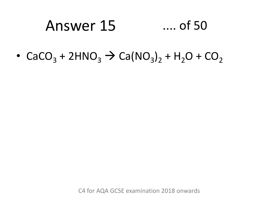### Answer 15 .... of 50

•  $CaCO_3 + 2HNO_3 \rightarrow Ca(NO_3)_2 + H_2O + CO_2$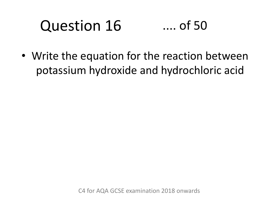### Question 16 .... of 50

• Write the equation for the reaction between potassium hydroxide and hydrochloric acid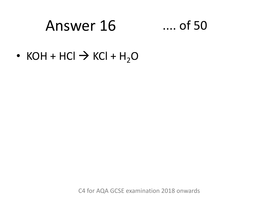### Answer 16 .... of 50

• KOH + HCl  $\rightarrow$  KCl + H<sub>2</sub>O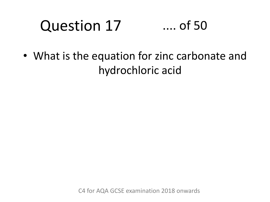### Question 17 .... of 50

• What is the equation for zinc carbonate and hydrochloric acid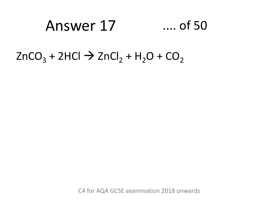### Answer 17 .... of 50

### $ZnCO<sub>3</sub> + 2HCl \rightarrow ZnCl<sub>2</sub> + H<sub>2</sub>O + CO<sub>2</sub>$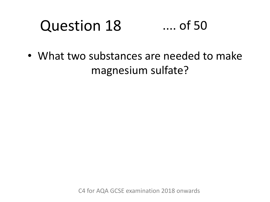#### Question 18 .... of 50

• What two substances are needed to make magnesium sulfate?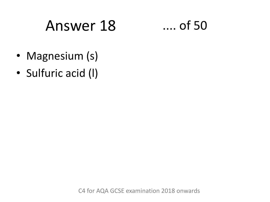# Answer 18 .... of 50

- Magnesium (s)
- Sulfuric acid (l)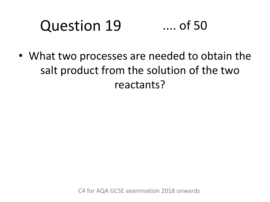#### Question 19 .... of 50

• What two processes are needed to obtain the salt product from the solution of the two reactants?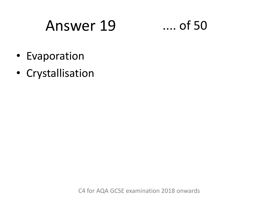## Answer 19

 $\dots$  of 50

- Evaporation
- Crystallisation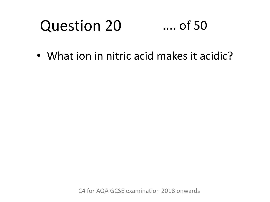#### Question 20 .... of 50

• What ion in nitric acid makes it acidic?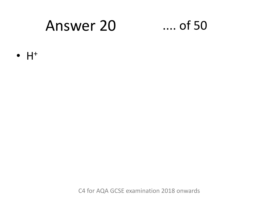### **Answer 20**

### $...$  of 50

 $\bullet$   $H^+$ 

C4 for AQA GCSE examination 2018 onwards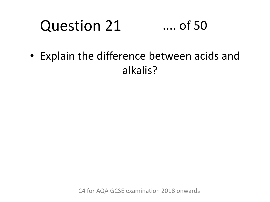#### Question 21 .... of 50

• Explain the difference between acids and alkalis?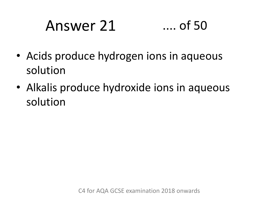# Answer 21 .... of 50

- Acids produce hydrogen ions in aqueous solution
- Alkalis produce hydroxide ions in aqueous solution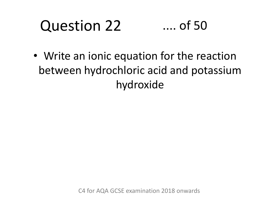#### Question 22 .... of 50

• Write an ionic equation for the reaction between hydrochloric acid and potassium hydroxide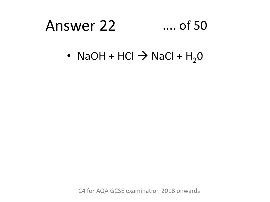# Answer 22 .... of 50

• NaOH + HCl  $\rightarrow$  NaCl + H<sub>2</sub>O

C4 for AQA GCSE examination 2018 onwards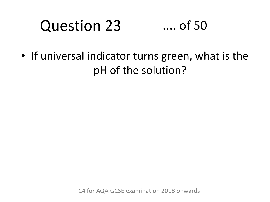#### Question 23 .... of 50

• If universal indicator turns green, what is the pH of the solution?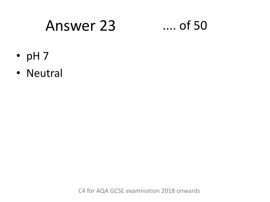### Answer 23

### $\dots$  of 50

- $\cdot$  pH 7
- · Neutral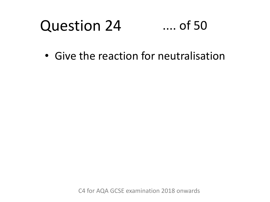#### Question 24 .... of 50

• Give the reaction for neutralisation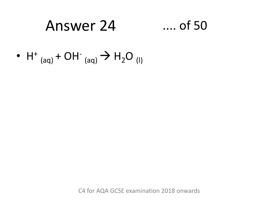#### Answer 24  $\dots$  of 50

• H<sup>+</sup> (aq) + OH<sup>-</sup> (aq)  $\rightarrow$  H<sub>2</sub>O (I)

C4 for AQA GCSE examination 2018 onwards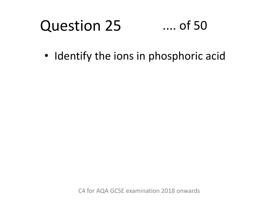#### Question 25 .... of 50

• Identify the ions in phosphoric acid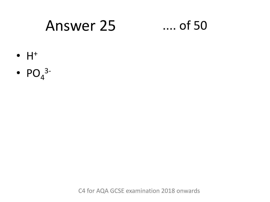### **Answer 25**

### $\dots$  of 50

- $\bullet$   $H^+$
- $PO_4^{3-}$

C4 for AQA GCSE examination 2018 onwards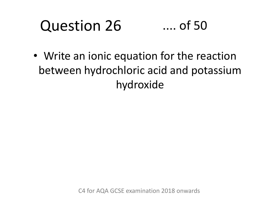### Question 26 .... of 50

• Write an ionic equation for the reaction between hydrochloric acid and potassium hydroxide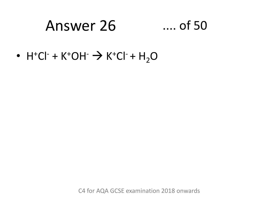# Answer 26 .... of 50

• H<sup>+</sup>Cl<sup>-</sup> + K<sup>+</sup>OH<sup>-</sup>  $\rightarrow$  K<sup>+</sup>Cl<sup>-</sup> + H<sub>2</sub>O

C4 for AQA GCSE examination 2018 onwards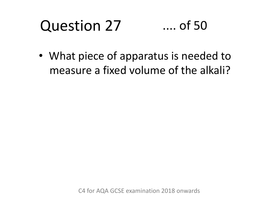#### Question 27 .... of 50

• What piece of apparatus is needed to measure a fixed volume of the alkali?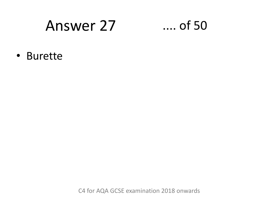### Answer 27

### $\dots$  of 50

• Burette

C4 for AQA GCSE examination 2018 onwards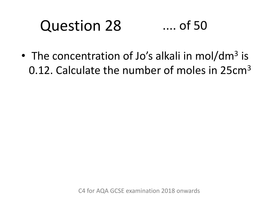#### Question 28 .... of 50

• The concentration of Jo's alkali in mol/dm<sup>3</sup> is 0.12. Calculate the number of moles in 25cm<sup>3</sup>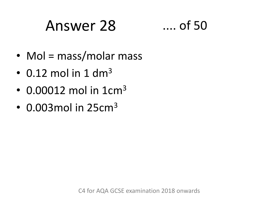# Answer 28 ...

$$
\ldots \text{ of } 50
$$

- Mol = mass/molar mass
- $\cdot$  0.12 mol in 1 dm<sup>3</sup>
- $\cdot$  0.00012 mol in 1cm<sup>3</sup>
- $\cdot$  0.003 mol in 25 $cm<sup>3</sup>$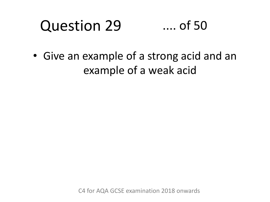#### Question 29 .... of 50

• Give an example of a strong acid and an example of a weak acid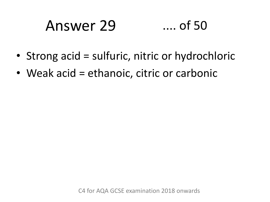# Answer 29 .... of 50

- Strong acid = sulfuric, nitric or hydrochloric
- Weak acid = ethanoic, citric or carbonic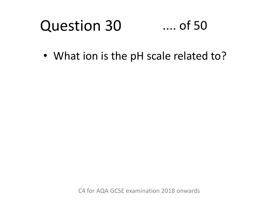#### Question 30 .... of 50

• What ion is the pH scale related to?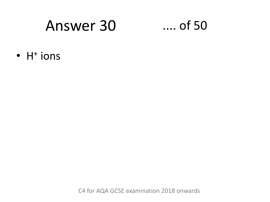### Answer 30

### $\dots$  of 50

 $\bullet$  H<sup>+</sup> ions

C4 for AQA GCSE examination 2018 onwards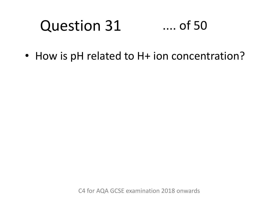#### Question 31 .... of 50

• How is pH related to H+ ion concentration?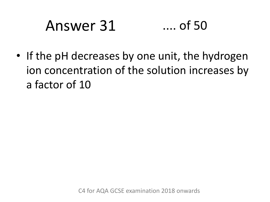# Answer 31 .... of 50

• If the pH decreases by one unit, the hydrogen ion concentration of the solution increases by a factor of 10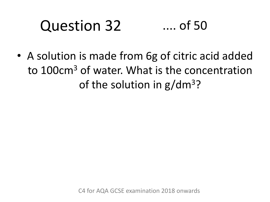### Question 32 .... of 50

• A solution is made from 6g of citric acid added to 100cm<sup>3</sup> of water. What is the concentration of the solution in  $g/dm^3$ ?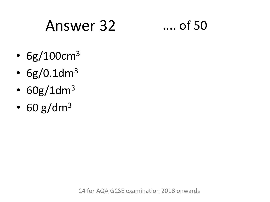# Answer 32 .... of 50

- $6g/100cm^{3}$
- $6g/0.1dm^3$
- $60g/1dm^3$
- $\cdot$  60 g/dm<sup>3</sup>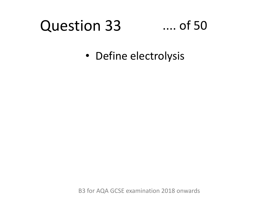# Question 33

### .... of 50

• Define electrolysis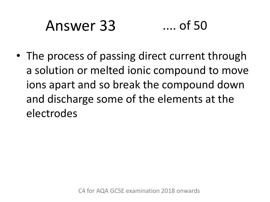# Answer 33 .... of 50

• The process of passing direct current through a solution or melted ionic compound to move ions apart and so break the compound down and discharge some of the elements at the electrodes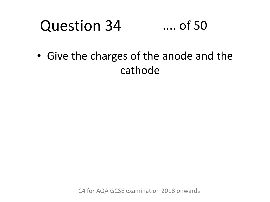#### Question 34 .... of 50

• Give the charges of the anode and the cathode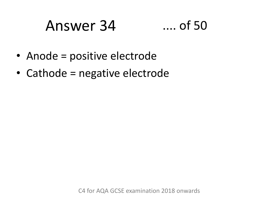### Answer 34 .... of 50



- Anode = positive electrode
- Cathode = negative electrode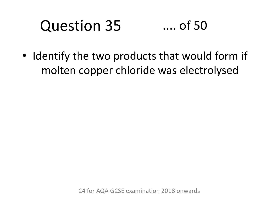### Question 35 .... of 50

• Identify the two products that would form if molten copper chloride was electrolysed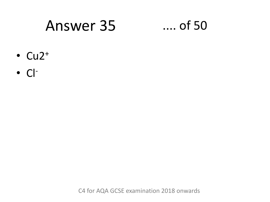### **Answer 35**

### $\dots$  of 50

- $\text{-}$  Cu2<sup>+</sup>
- $\bullet$  CI-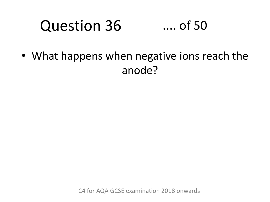#### Question 36 .... of 50

• What happens when negative ions reach the anode?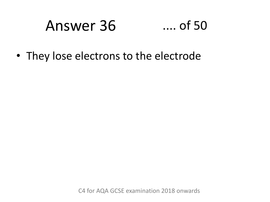# Answer 36 .... of 50

• They lose electrons to the electrode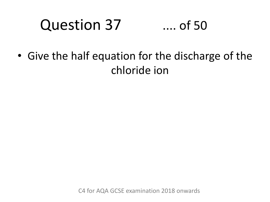### Question 37 .... of 50

• Give the half equation for the discharge of the chloride ion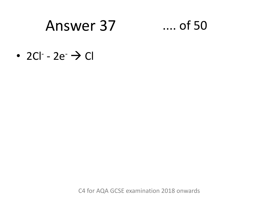### Answer 37

### $...$  of 50

 $\cdot$  2Cl<sup>-</sup> - 2e<sup>-</sup>  $\rightarrow$  Cl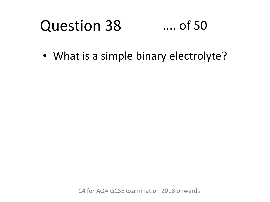#### Question 38 .... of 50

• What is a simple binary electrolyte?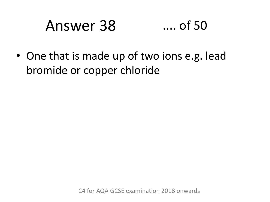# Answer 38 .... of 50

• One that is made up of two ions e.g. lead bromide or copper chloride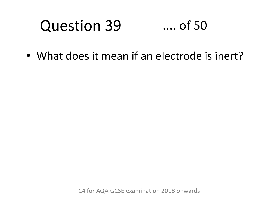#### Question 39 .... of 50

• What does it mean if an electrode is inert?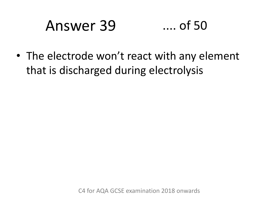# Answer 39 .... of 50

• The electrode won't react with any element that is discharged during electrolysis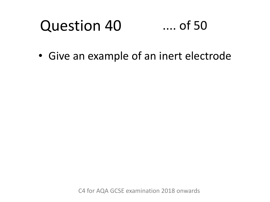#### Question 40 .... of 50

• Give an example of an inert electrode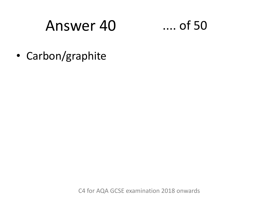### Answer 40



• Carbon/graphite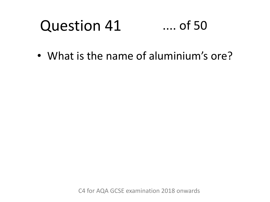#### Question 41 .... of 50

• What is the name of aluminium's ore?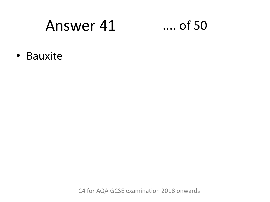### Answer 41

### $\ldots$  of 50

· Bauxite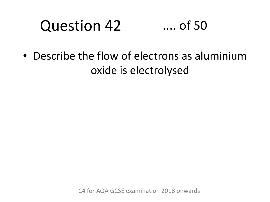### Question 42 .... of 50

• Describe the flow of electrons as aluminium oxide is electrolysed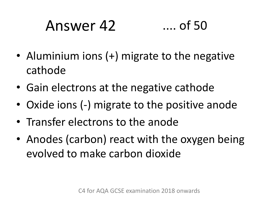# Answer 42 .... of 50

- Aluminium ions (+) migrate to the negative cathode
- Gain electrons at the negative cathode
- Oxide ions (-) migrate to the positive anode
- Transfer electrons to the anode
- Anodes (carbon) react with the oxygen being evolved to make carbon dioxide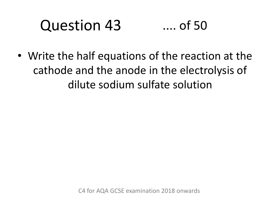### Question 43 .... of 50

• Write the half equations of the reaction at the cathode and the anode in the electrolysis of dilute sodium sulfate solution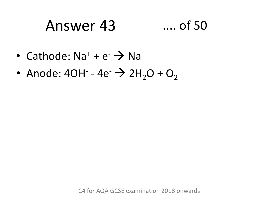## Answer 43 .... of 50

- Cathode:  $Na^+ + e^- \rightarrow Na$
- Anode:  $4OH^- 4e^- \rightarrow 2H_2O + O_2$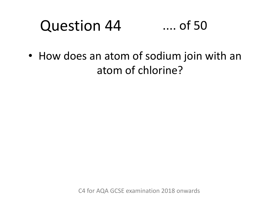#### Question 44 .... of 50

• How does an atom of sodium join with an atom of chlorine?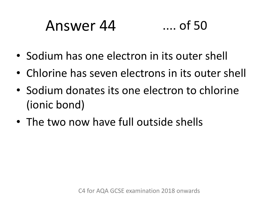# Answer 44 .... of 50

- Sodium has one electron in its outer shell
- Chlorine has seven electrons in its outer shell
- Sodium donates its one electron to chlorine (ionic bond)
- The two now have full outside shells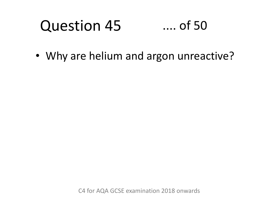### Question 45 .... of 50

• Why are helium and argon unreactive?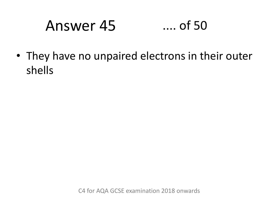## Answer 45 .... of 50

• They have no unpaired electrons in their outer shells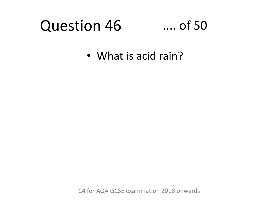### Question 46

### .... of 50

• What is acid rain?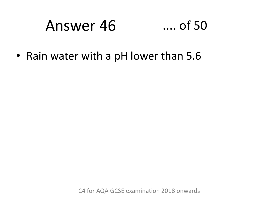# Answer 46 .... of 50

• Rain water with a pH lower than 5.6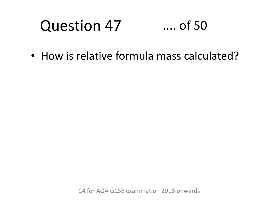### Question 47 .... of 50

• How is relative formula mass calculated?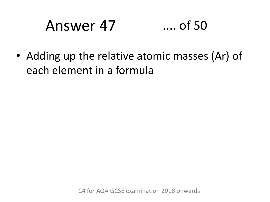# Answer 47 .... of 50

• Adding up the relative atomic masses (Ar) of each element in a formula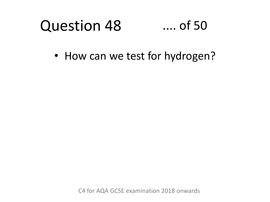#### Question 48 .... of 50

• How can we test for hydrogen?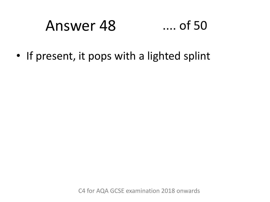#### Answer 48  $\dots$  of 50

• If present, it pops with a lighted splint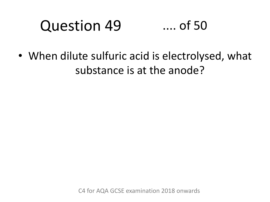#### Question 49 .... of 50

• When dilute sulfuric acid is electrolysed, what substance is at the anode?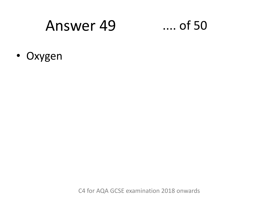### Answer 49

### $\dots$  of 50

• Oxygen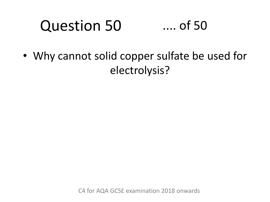### Question 50 .... of 50

• Why cannot solid copper sulfate be used for electrolysis?